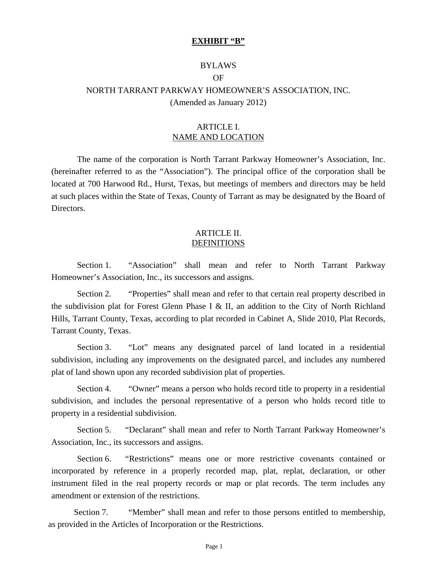#### **EXHIBIT "B"**

#### BYLAWS

#### OF

# NORTH TARRANT PARKWAY HOMEOWNER'S ASSOCIATION, INC.

(Amended as January 2012)

## ARTICLE I. NAME AND LOCATION

 The name of the corporation is North Tarrant Parkway Homeowner's Association, Inc. (hereinafter referred to as the "Association"). The principal office of the corporation shall be located at 700 Harwood Rd., Hurst, Texas, but meetings of members and directors may be held at such places within the State of Texas, County of Tarrant as may be designated by the Board of Directors.

## ARTICLE II. **DEFINITIONS**

Section 1. "Association" shall mean and refer to North Tarrant Parkway Homeowner's Association, Inc., its successors and assigns.

Section 2. "Properties" shall mean and refer to that certain real property described in the subdivision plat for Forest Glenn Phase I & II, an addition to the City of North Richland Hills, Tarrant County, Texas, according to plat recorded in Cabinet A, Slide 2010, Plat Records, Tarrant County, Texas.

Section 3. "Lot" means any designated parcel of land located in a residential subdivision, including any improvements on the designated parcel, and includes any numbered plat of land shown upon any recorded subdivision plat of properties.

Section 4. "Owner" means a person who holds record title to property in a residential subdivision, and includes the personal representative of a person who holds record title to property in a residential subdivision.

Section 5. "Declarant" shall mean and refer to North Tarrant Parkway Homeowner's Association, Inc., its successors and assigns.

Section 6. "Restrictions" means one or more restrictive covenants contained or incorporated by reference in a properly recorded map, plat, replat, declaration, or other instrument filed in the real property records or map or plat records. The term includes any amendment or extension of the restrictions.

Section 7. "Wember" shall mean and refer to those persons entitled to membership, as provided in the Articles of Incorporation or the Restrictions.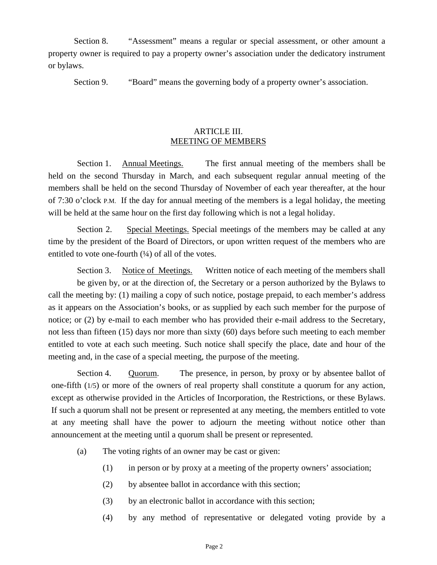Section 8. "Assessment" means a regular or special assessment, or other amount a property owner is required to pay a property owner's association under the dedicatory instrument or bylaws.

Section 9. "Board" means the governing body of a property owner's association.

## ARTICLE III. MEETING OF MEMBERS

Section 1. Annual Meetings. The first annual meeting of the members shall be held on the second Thursday in March, and each subsequent regular annual meeting of the members shall be held on the second Thursday of November of each year thereafter, at the hour of 7:30 o'clock P.M. If the day for annual meeting of the members is a legal holiday, the meeting will be held at the same hour on the first day following which is not a legal holiday.

Section 2. Special Meetings. Special meetings of the members may be called at any time by the president of the Board of Directors, or upon written request of the members who are entitled to vote one-fourth  $(½)$  of all of the votes.

Section 3. Notice of Meetings. Written notice of each meeting of the members shall be given by, or at the direction of, the Secretary or a person authorized by the Bylaws to call the meeting by: (1) mailing a copy of such notice, postage prepaid, to each member's address as it appears on the Association's books, or as supplied by each such member for the purpose of notice; or (2) by e-mail to each member who has provided their e-mail address to the Secretary, not less than fifteen (15) days nor more than sixty (60) days before such meeting to each member entitled to vote at each such meeting. Such notice shall specify the place, date and hour of the meeting and, in the case of a special meeting, the purpose of the meeting.

Section 4. Quorum. The presence, in person, by proxy or by absentee ballot of one-fifth (1/5) or more of the owners of real property shall constitute a quorum for any action, except as otherwise provided in the Articles of Incorporation, the Restrictions, or these Bylaws. If such a quorum shall not be present or represented at any meeting, the members entitled to vote at any meeting shall have the power to adjourn the meeting without notice other than announcement at the meeting until a quorum shall be present or represented.

- (a) The voting rights of an owner may be cast or given:
	- (1) in person or by proxy at a meeting of the property owners' association;
	- (2) by absentee ballot in accordance with this section;
	- (3) by an electronic ballot in accordance with this section;
	- (4) by any method of representative or delegated voting provide by a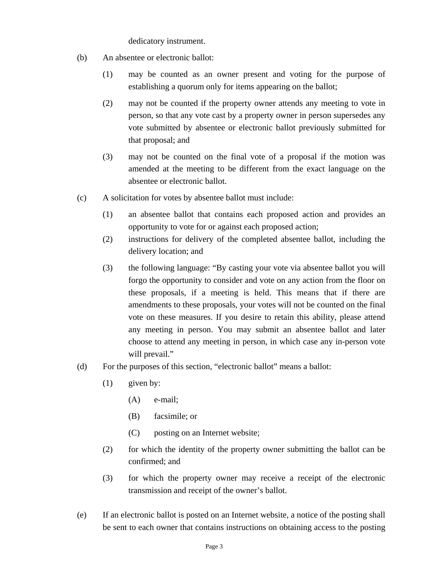dedicatory instrument.

- (b) An absentee or electronic ballot:
	- (1) may be counted as an owner present and voting for the purpose of establishing a quorum only for items appearing on the ballot;
	- (2) may not be counted if the property owner attends any meeting to vote in person, so that any vote cast by a property owner in person supersedes any vote submitted by absentee or electronic ballot previously submitted for that proposal; and
	- (3) may not be counted on the final vote of a proposal if the motion was amended at the meeting to be different from the exact language on the absentee or electronic ballot.
- (c) A solicitation for votes by absentee ballot must include:
	- (1) an absentee ballot that contains each proposed action and provides an opportunity to vote for or against each proposed action;
	- (2) instructions for delivery of the completed absentee ballot, including the delivery location; and
	- (3) the following language: "By casting your vote via absentee ballot you will forgo the opportunity to consider and vote on any action from the floor on these proposals, if a meeting is held. This means that if there are amendments to these proposals, your votes will not be counted on the final vote on these measures. If you desire to retain this ability, please attend any meeting in person. You may submit an absentee ballot and later choose to attend any meeting in person, in which case any in-person vote will prevail."
- (d) For the purposes of this section, "electronic ballot" means a ballot:
	- (1) given by:
		- (A) e-mail;
		- (B) facsimile; or
		- (C) posting on an Internet website;
	- (2) for which the identity of the property owner submitting the ballot can be confirmed; and
	- (3) for which the property owner may receive a receipt of the electronic transmission and receipt of the owner's ballot.
- (e) If an electronic ballot is posted on an Internet website, a notice of the posting shall be sent to each owner that contains instructions on obtaining access to the posting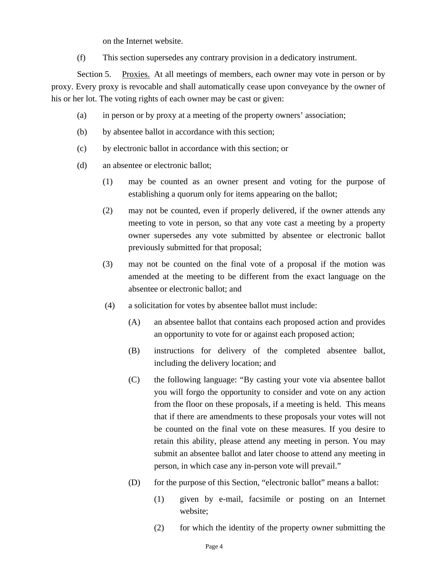on the Internet website.

(f) This section supersedes any contrary provision in a dedicatory instrument.

Section 5. Proxies. At all meetings of members, each owner may vote in person or by proxy. Every proxy is revocable and shall automatically cease upon conveyance by the owner of his or her lot. The voting rights of each owner may be cast or given:

- (a) in person or by proxy at a meeting of the property owners' association;
- (b) by absentee ballot in accordance with this section;
- (c) by electronic ballot in accordance with this section; or
- (d) an absentee or electronic ballot;
	- (1) may be counted as an owner present and voting for the purpose of establishing a quorum only for items appearing on the ballot;
	- (2) may not be counted, even if properly delivered, if the owner attends any meeting to vote in person, so that any vote cast a meeting by a property owner supersedes any vote submitted by absentee or electronic ballot previously submitted for that proposal;
	- (3) may not be counted on the final vote of a proposal if the motion was amended at the meeting to be different from the exact language on the absentee or electronic ballot; and
	- (4) a solicitation for votes by absentee ballot must include:
		- (A) an absentee ballot that contains each proposed action and provides an opportunity to vote for or against each proposed action;
		- (B) instructions for delivery of the completed absentee ballot, including the delivery location; and
		- (C) the following language: "By casting your vote via absentee ballot you will forgo the opportunity to consider and vote on any action from the floor on these proposals, if a meeting is held. This means that if there are amendments to these proposals your votes will not be counted on the final vote on these measures. If you desire to retain this ability, please attend any meeting in person. You may submit an absentee ballot and later choose to attend any meeting in person, in which case any in-person vote will prevail."
		- (D) for the purpose of this Section, "electronic ballot" means a ballot:
			- (1) given by e-mail, facsimile or posting on an Internet website;
			- (2) for which the identity of the property owner submitting the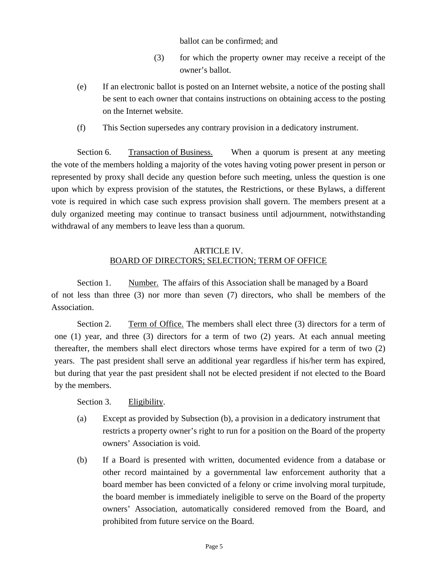ballot can be confirmed; and

- (3) for which the property owner may receive a receipt of the owner's ballot.
- (e) If an electronic ballot is posted on an Internet website, a notice of the posting shall be sent to each owner that contains instructions on obtaining access to the posting on the Internet website.
- (f) This Section supersedes any contrary provision in a dedicatory instrument.

Section 6. Transaction of Business. When a quorum is present at any meeting the vote of the members holding a majority of the votes having voting power present in person or represented by proxy shall decide any question before such meeting, unless the question is one upon which by express provision of the statutes, the Restrictions, or these Bylaws, a different vote is required in which case such express provision shall govern. The members present at a duly organized meeting may continue to transact business until adjournment, notwithstanding withdrawal of any members to leave less than a quorum.

## ARTICLE IV. BOARD OF DIRECTORS; SELECTION; TERM OF OFFICE

Section 1. Number. The affairs of this Association shall be managed by a Board of not less than three (3) nor more than seven (7) directors, who shall be members of the Association.

Section 2. Term of Office. The members shall elect three (3) directors for a term of one (1) year, and three (3) directors for a term of two (2) years. At each annual meeting thereafter, the members shall elect directors whose terms have expired for a term of two (2) years. The past president shall serve an additional year regardless if his/her term has expired, but during that year the past president shall not be elected president if not elected to the Board by the members.

Section 3. Eligibility.

- (a) Except as provided by Subsection (b), a provision in a dedicatory instrument that restricts a property owner's right to run for a position on the Board of the property owners' Association is void.
- (b) If a Board is presented with written, documented evidence from a database or other record maintained by a governmental law enforcement authority that a board member has been convicted of a felony or crime involving moral turpitude, the board member is immediately ineligible to serve on the Board of the property owners' Association, automatically considered removed from the Board, and prohibited from future service on the Board.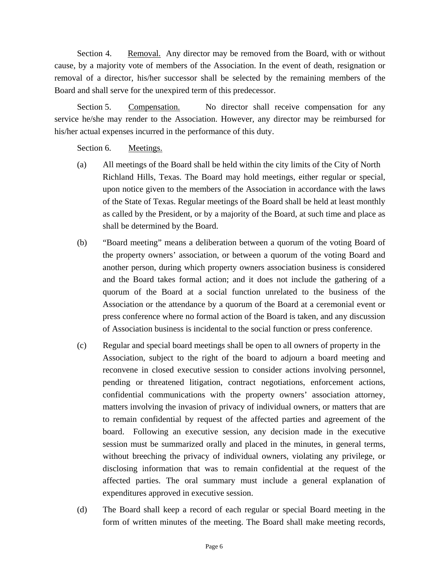Section 4. Removal. Any director may be removed from the Board, with or without cause, by a majority vote of members of the Association. In the event of death, resignation or removal of a director, his/her successor shall be selected by the remaining members of the Board and shall serve for the unexpired term of this predecessor.

Section 5. Compensation. No director shall receive compensation for any service he/she may render to the Association. However, any director may be reimbursed for his/her actual expenses incurred in the performance of this duty.

Section 6. Meetings.

- (a) All meetings of the Board shall be held within the city limits of the City of North Richland Hills, Texas. The Board may hold meetings, either regular or special, upon notice given to the members of the Association in accordance with the laws of the State of Texas. Regular meetings of the Board shall be held at least monthly as called by the President, or by a majority of the Board, at such time and place as shall be determined by the Board.
- (b) "Board meeting" means a deliberation between a quorum of the voting Board of the property owners' association, or between a quorum of the voting Board and another person, during which property owners association business is considered and the Board takes formal action; and it does not include the gathering of a quorum of the Board at a social function unrelated to the business of the Association or the attendance by a quorum of the Board at a ceremonial event or press conference where no formal action of the Board is taken, and any discussion of Association business is incidental to the social function or press conference.
- (c) Regular and special board meetings shall be open to all owners of property in the Association, subject to the right of the board to adjourn a board meeting and reconvene in closed executive session to consider actions involving personnel, pending or threatened litigation, contract negotiations, enforcement actions, confidential communications with the property owners' association attorney, matters involving the invasion of privacy of individual owners, or matters that are to remain confidential by request of the affected parties and agreement of the board. Following an executive session, any decision made in the executive session must be summarized orally and placed in the minutes, in general terms, without breeching the privacy of individual owners, violating any privilege, or disclosing information that was to remain confidential at the request of the affected parties. The oral summary must include a general explanation of expenditures approved in executive session.
- (d) The Board shall keep a record of each regular or special Board meeting in the form of written minutes of the meeting. The Board shall make meeting records,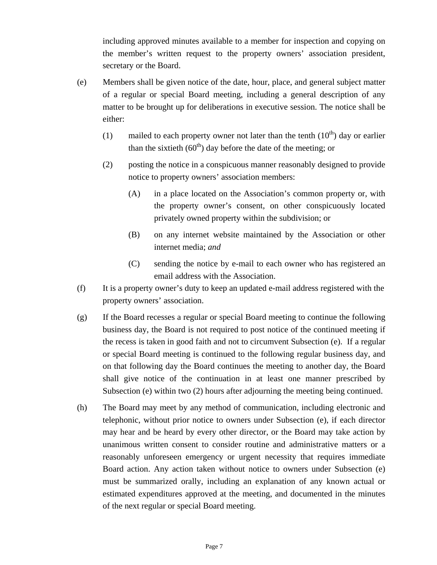including approved minutes available to a member for inspection and copying on the member's written request to the property owners' association president, secretary or the Board.

- (e) Members shall be given notice of the date, hour, place, and general subject matter of a regular or special Board meeting, including a general description of any matter to be brought up for deliberations in executive session. The notice shall be either:
	- (1) mailed to each property owner not later than the tenth  $(10<sup>th</sup>)$  day or earlier than the sixtieth  $(60<sup>th</sup>)$  day before the date of the meeting; or
	- (2) posting the notice in a conspicuous manner reasonably designed to provide notice to property owners' association members:
		- (A) in a place located on the Association's common property or, with the property owner's consent, on other conspicuously located privately owned property within the subdivision; or
		- (B) on any internet website maintained by the Association or other internet media; *and*
		- (C) sending the notice by e-mail to each owner who has registered an email address with the Association.
- (f) It is a property owner's duty to keep an updated e-mail address registered with the property owners' association.
- (g) If the Board recesses a regular or special Board meeting to continue the following business day, the Board is not required to post notice of the continued meeting if the recess is taken in good faith and not to circumvent Subsection (e). If a regular or special Board meeting is continued to the following regular business day, and on that following day the Board continues the meeting to another day, the Board shall give notice of the continuation in at least one manner prescribed by Subsection (e) within two (2) hours after adjourning the meeting being continued.
- (h) The Board may meet by any method of communication, including electronic and telephonic, without prior notice to owners under Subsection (e), if each director may hear and be heard by every other director, or the Board may take action by unanimous written consent to consider routine and administrative matters or a reasonably unforeseen emergency or urgent necessity that requires immediate Board action. Any action taken without notice to owners under Subsection (e) must be summarized orally, including an explanation of any known actual or estimated expenditures approved at the meeting, and documented in the minutes of the next regular or special Board meeting.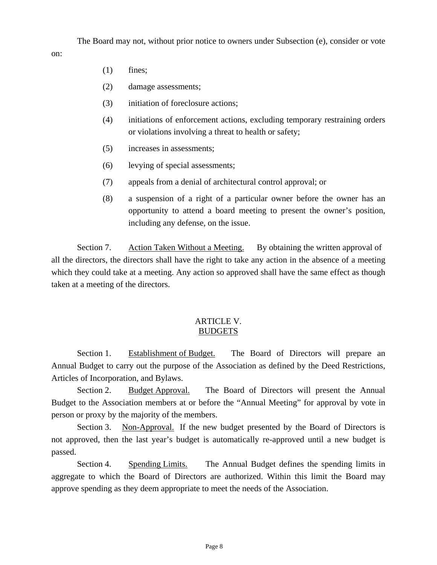The Board may not, without prior notice to owners under Subsection (e), consider or vote

(1) fines;

on:

- (2) damage assessments;
- (3) initiation of foreclosure actions;
- (4) initiations of enforcement actions, excluding temporary restraining orders or violations involving a threat to health or safety;
- (5) increases in assessments;
- (6) levying of special assessments;
- (7) appeals from a denial of architectural control approval; or
- (8) a suspension of a right of a particular owner before the owner has an opportunity to attend a board meeting to present the owner's position, including any defense, on the issue.

 Section 7. Action Taken Without a Meeting. By obtaining the written approval of all the directors, the directors shall have the right to take any action in the absence of a meeting which they could take at a meeting. Any action so approved shall have the same effect as though taken at a meeting of the directors.

#### ARTICLE V. BUDGETS

Section 1. Establishment of Budget. The Board of Directors will prepare an Annual Budget to carry out the purpose of the Association as defined by the Deed Restrictions, Articles of Incorporation, and Bylaws.

Section 2. Budget Approval. The Board of Directors will present the Annual Budget to the Association members at or before the "Annual Meeting" for approval by vote in person or proxy by the majority of the members.

Section 3. Non-Approval. If the new budget presented by the Board of Directors is not approved, then the last year's budget is automatically re-approved until a new budget is passed.

Section 4. Spending Limits. The Annual Budget defines the spending limits in aggregate to which the Board of Directors are authorized. Within this limit the Board may approve spending as they deem appropriate to meet the needs of the Association.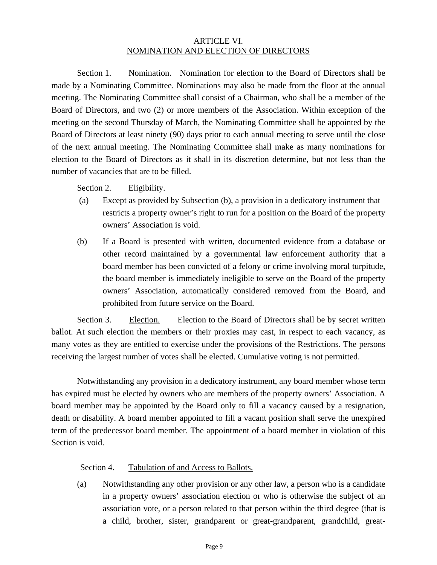## ARTICLE VI. NOMINATION AND ELECTION OF DIRECTORS

Section 1. Nomination. Nomination for election to the Board of Directors shall be made by a Nominating Committee. Nominations may also be made from the floor at the annual meeting. The Nominating Committee shall consist of a Chairman, who shall be a member of the Board of Directors, and two (2) or more members of the Association. Within exception of the meeting on the second Thursday of March, the Nominating Committee shall be appointed by the Board of Directors at least ninety (90) days prior to each annual meeting to serve until the close of the next annual meeting. The Nominating Committee shall make as many nominations for election to the Board of Directors as it shall in its discretion determine, but not less than the number of vacancies that are to be filled.

Section 2. Eligibility.

- (a) Except as provided by Subsection (b), a provision in a dedicatory instrument that restricts a property owner's right to run for a position on the Board of the property owners' Association is void.
- (b) If a Board is presented with written, documented evidence from a database or other record maintained by a governmental law enforcement authority that a board member has been convicted of a felony or crime involving moral turpitude, the board member is immediately ineligible to serve on the Board of the property owners' Association, automatically considered removed from the Board, and prohibited from future service on the Board.

Section 3. Election. Election to the Board of Directors shall be by secret written ballot. At such election the members or their proxies may cast, in respect to each vacancy, as many votes as they are entitled to exercise under the provisions of the Restrictions. The persons receiving the largest number of votes shall be elected. Cumulative voting is not permitted.

Notwithstanding any provision in a dedicatory instrument, any board member whose term has expired must be elected by owners who are members of the property owners' Association. A board member may be appointed by the Board only to fill a vacancy caused by a resignation, death or disability. A board member appointed to fill a vacant position shall serve the unexpired term of the predecessor board member. The appointment of a board member in violation of this Section is void.

Section 4. Tabulation of and Access to Ballots.

 (a) Notwithstanding any other provision or any other law, a person who is a candidate in a property owners' association election or who is otherwise the subject of an association vote, or a person related to that person within the third degree (that is a child, brother, sister, grandparent or great-grandparent, grandchild, great-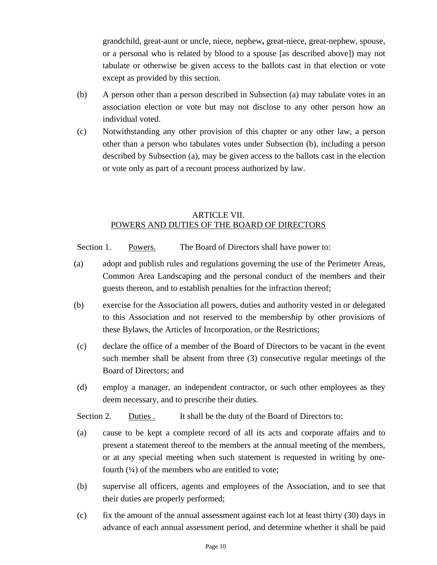grandchild, great-aunt or uncle, niece, nephew**,** great-niece, great-nephew, spouse, or a personal who is related by blood to a spouse [as described above]) may not tabulate or otherwise be given access to the ballots cast in that election or vote except as provided by this section.

- (b) A person other than a person described in Subsection (a) may tabulate votes in an association election or vote but may not disclose to any other person how an individual voted.
- (c) Notwithstanding any other provision of this chapter or any other law, a person other than a person who tabulates votes under Subsection (b), including a person described by Subsection (a), may be given access to the ballots cast in the election or vote only as part of a recount process authorized by law.

# ARTICLE VII. POWERS AND DUTIES OF THE BOARD OF DIRECTORS

Section 1. Powers. The Board of Directors shall have power to:

- (a) adopt and publish rules and regulations governing the use of the Perimeter Areas, Common Area Landscaping and the personal conduct of the members and their guests thereon, and to establish penalties for the infraction thereof;
- (b) exercise for the Association all powers, duties and authority vested in or delegated to this Association and not reserved to the membership by other provisions of these Bylaws, the Articles of Incorporation, or the Restrictions;
- (c) declare the office of a member of the Board of Directors to be vacant in the event such member shall be absent from three (3) consecutive regular meetings of the Board of Directors; and
- (d) employ a manager, an independent contractor, or such other employees as they deem necessary, and to prescribe their duties.

Section 2. Duties . It shall be the duty of the Board of Directors to:

- (a) cause to be kept a complete record of all its acts and corporate affairs and to present a statement thereof to the members at the annual meeting of the members, or at any special meeting when such statement is requested in writing by onefourth  $(½)$  of the members who are entitled to vote;
- (b) supervise all officers, agents and employees of the Association, and to see that their duties are properly performed;
- (c) fix the amount of the annual assessment against each lot at least thirty (30) days in advance of each annual assessment period, and determine whether it shall be paid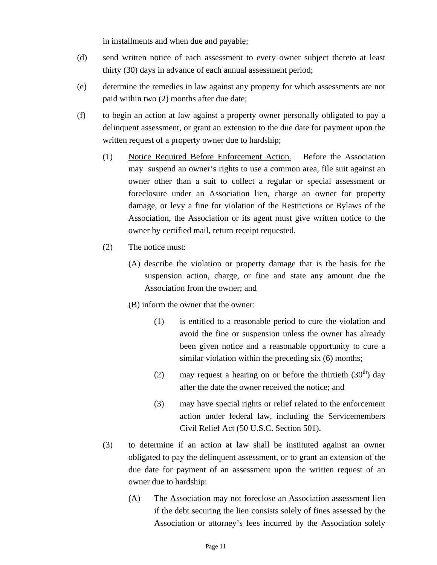in installments and when due and payable;

- (d) send written notice of each assessment to every owner subject thereto at least thirty (30) days in advance of each annual assessment period;
- (e) determine the remedies in law against any property for which assessments are not paid within two (2) months after due date;
- (f) to begin an action at law against a property owner personally obligated to pay a delinquent assessment, or grant an extension to the due date for payment upon the written request of a property owner due to hardship;
	- (1) Notice Required Before Enforcement Action. Before the Association may suspend an owner's rights to use a common area, file suit against an owner other than a suit to collect a regular or special assessment or foreclosure under an Association lien, charge an owner for property damage, or levy a fine for violation of the Restrictions or Bylaws of the Association, the Association or its agent must give written notice to the owner by certified mail, return receipt requested.
	- (2) The notice must:
		- (A) describe the violation or property damage that is the basis for the suspension action, charge, or fine and state any amount due the Association from the owner; and
		- (B) inform the owner that the owner:
			- (1) is entitled to a reasonable period to cure the violation and avoid the fine or suspension unless the owner has already been given notice and a reasonable opportunity to cure a similar violation within the preceding six (6) months;
			- (2) may request a hearing on or before the thirtieth  $(30<sup>th</sup>)$  day after the date the owner received the notice; and
			- (3) may have special rights or relief related to the enforcement action under federal law, including the Servicemembers Civil Relief Act (50 U.S.C. Section 501).
	- (3) to determine if an action at law shall be instituted against an owner obligated to pay the delinquent assessment, or to grant an extension of the due date for payment of an assessment upon the written request of an owner due to hardship:
		- (A) The Association may not foreclose an Association assessment lien if the debt securing the lien consists solely of fines assessed by the Association or attorney's fees incurred by the Association solely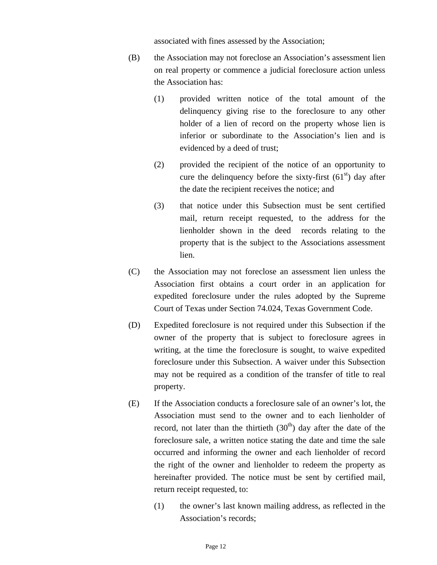associated with fines assessed by the Association;

- (B) the Association may not foreclose an Association's assessment lien on real property or commence a judicial foreclosure action unless the Association has:
	- (1) provided written notice of the total amount of the delinquency giving rise to the foreclosure to any other holder of a lien of record on the property whose lien is inferior or subordinate to the Association's lien and is evidenced by a deed of trust;
	- (2) provided the recipient of the notice of an opportunity to cure the delinquency before the sixty-first  $(61<sup>st</sup>)$  day after the date the recipient receives the notice; and
	- (3) that notice under this Subsection must be sent certified mail, return receipt requested, to the address for the lienholder shown in the deed records relating to the property that is the subject to the Associations assessment lien.
- (C) the Association may not foreclose an assessment lien unless the Association first obtains a court order in an application for expedited foreclosure under the rules adopted by the Supreme Court of Texas under Section 74.024, Texas Government Code.
- (D) Expedited foreclosure is not required under this Subsection if the owner of the property that is subject to foreclosure agrees in writing, at the time the foreclosure is sought, to waive expedited foreclosure under this Subsection. A waiver under this Subsection may not be required as a condition of the transfer of title to real property.
- (E) If the Association conducts a foreclosure sale of an owner's lot, the Association must send to the owner and to each lienholder of record, not later than the thirtieth  $(30<sup>th</sup>)$  day after the date of the foreclosure sale, a written notice stating the date and time the sale occurred and informing the owner and each lienholder of record the right of the owner and lienholder to redeem the property as hereinafter provided. The notice must be sent by certified mail, return receipt requested, to:
	- (1) the owner's last known mailing address, as reflected in the Association's records;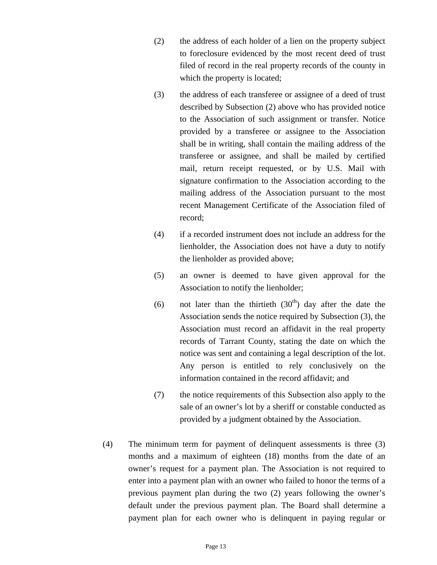- (2) the address of each holder of a lien on the property subject to foreclosure evidenced by the most recent deed of trust filed of record in the real property records of the county in which the property is located;
- (3) the address of each transferee or assignee of a deed of trust described by Subsection (2) above who has provided notice to the Association of such assignment or transfer. Notice provided by a transferee or assignee to the Association shall be in writing, shall contain the mailing address of the transferee or assignee, and shall be mailed by certified mail, return receipt requested, or by U.S. Mail with signature confirmation to the Association according to the mailing address of the Association pursuant to the most recent Management Certificate of the Association filed of record;
- (4) if a recorded instrument does not include an address for the lienholder, the Association does not have a duty to notify the lienholder as provided above;
- (5) an owner is deemed to have given approval for the Association to notify the lienholder;
- (6) not later than the thirtieth  $(30<sup>th</sup>)$  day after the date the Association sends the notice required by Subsection (3), the Association must record an affidavit in the real property records of Tarrant County, stating the date on which the notice was sent and containing a legal description of the lot. Any person is entitled to rely conclusively on the information contained in the record affidavit; and
- (7) the notice requirements of this Subsection also apply to the sale of an owner's lot by a sheriff or constable conducted as provided by a judgment obtained by the Association.
- (4) The minimum term for payment of delinquent assessments is three (3) months and a maximum of eighteen (18) months from the date of an owner's request for a payment plan. The Association is not required to enter into a payment plan with an owner who failed to honor the terms of a previous payment plan during the two (2) years following the owner's default under the previous payment plan. The Board shall determine a payment plan for each owner who is delinquent in paying regular or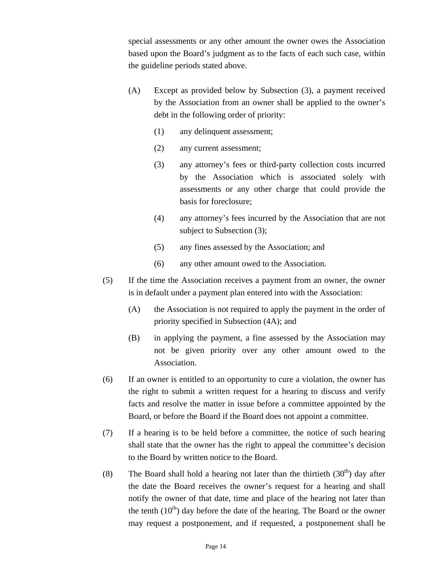special assessments or any other amount the owner owes the Association based upon the Board's judgment as to the facts of each such case, within the guideline periods stated above.

- (A) Except as provided below by Subsection (3), a payment received by the Association from an owner shall be applied to the owner's debt in the following order of priority:
	- (1) any delinquent assessment;
	- (2) any current assessment;
	- (3) any attorney's fees or third-party collection costs incurred by the Association which is associated solely with assessments or any other charge that could provide the basis for foreclosure;
	- (4) any attorney's fees incurred by the Association that are not subject to Subsection (3);
	- (5) any fines assessed by the Association; and
	- (6) any other amount owed to the Association.
- (5) If the time the Association receives a payment from an owner, the owner is in default under a payment plan entered into with the Association:
	- (A) the Association is not required to apply the payment in the order of priority specified in Subsection (4A); and
	- (B) in applying the payment, a fine assessed by the Association may not be given priority over any other amount owed to the Association.
- (6) If an owner is entitled to an opportunity to cure a violation, the owner has the right to submit a written request for a hearing to discuss and verify facts and resolve the matter in issue before a committee appointed by the Board, or before the Board if the Board does not appoint a committee.
- (7) If a hearing is to be held before a committee, the notice of such hearing shall state that the owner has the right to appeal the committee's decision to the Board by written notice to the Board.
- (8) The Board shall hold a hearing not later than the thirtieth  $(30<sup>th</sup>)$  day after the date the Board receives the owner's request for a hearing and shall notify the owner of that date, time and place of the hearing not later than the tenth  $(10<sup>th</sup>)$  day before the date of the hearing. The Board or the owner may request a postponement, and if requested, a postponement shall be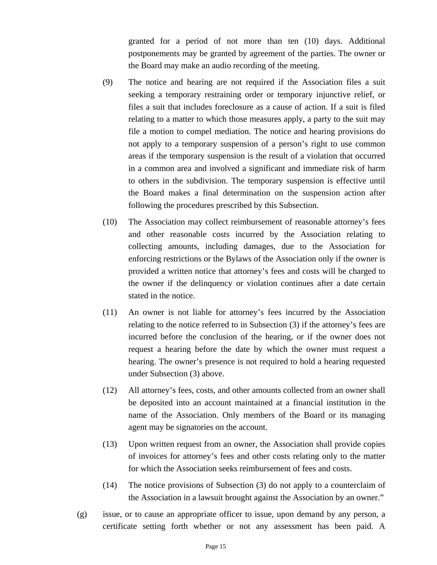granted for a period of not more than ten (10) days. Additional postponements may be granted by agreement of the parties. The owner or the Board may make an audio recording of the meeting.

- (9) The notice and hearing are not required if the Association files a suit seeking a temporary restraining order or temporary injunctive relief, or files a suit that includes foreclosure as a cause of action. If a suit is filed relating to a matter to which those measures apply, a party to the suit may file a motion to compel mediation. The notice and hearing provisions do not apply to a temporary suspension of a person's right to use common areas if the temporary suspension is the result of a violation that occurred in a common area and involved a significant and immediate risk of harm to others in the subdivision. The temporary suspension is effective until the Board makes a final determination on the suspension action after following the procedures prescribed by this Subsection.
- (10) The Association may collect reimbursement of reasonable attorney's fees and other reasonable costs incurred by the Association relating to collecting amounts, including damages, due to the Association for enforcing restrictions or the Bylaws of the Association only if the owner is provided a written notice that attorney's fees and costs will be charged to the owner if the delinquency or violation continues after a date certain stated in the notice.
- (11) An owner is not liable for attorney's fees incurred by the Association relating to the notice referred to in Subsection (3) if the attorney's fees are incurred before the conclusion of the hearing, or if the owner does not request a hearing before the date by which the owner must request a hearing. The owner's presence is not required to hold a hearing requested under Subsection (3) above.
- (12) All attorney's fees, costs, and other amounts collected from an owner shall be deposited into an account maintained at a financial institution in the name of the Association. Only members of the Board or its managing agent may be signatories on the account.
- (13) Upon written request from an owner, the Association shall provide copies of invoices for attorney's fees and other costs relating only to the matter for which the Association seeks reimbursement of fees and costs.
- (14) The notice provisions of Subsection (3) do not apply to a counterclaim of the Association in a lawsuit brought against the Association by an owner."
- (g) issue, or to cause an appropriate officer to issue, upon demand by any person, a certificate setting forth whether or not any assessment has been paid. A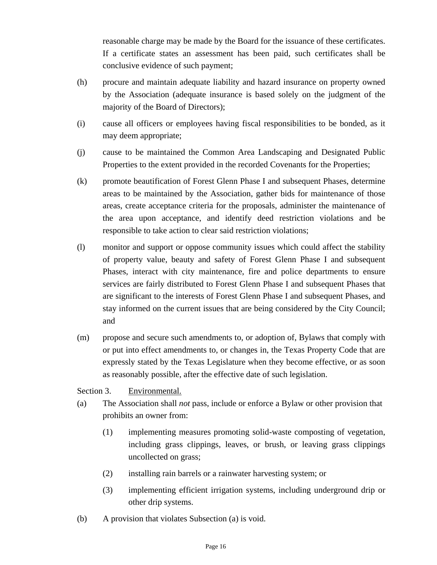reasonable charge may be made by the Board for the issuance of these certificates. If a certificate states an assessment has been paid, such certificates shall be conclusive evidence of such payment;

- (h) procure and maintain adequate liability and hazard insurance on property owned by the Association (adequate insurance is based solely on the judgment of the majority of the Board of Directors);
- (i) cause all officers or employees having fiscal responsibilities to be bonded, as it may deem appropriate;
- (j) cause to be maintained the Common Area Landscaping and Designated Public Properties to the extent provided in the recorded Covenants for the Properties;
- (k) promote beautification of Forest Glenn Phase I and subsequent Phases, determine areas to be maintained by the Association, gather bids for maintenance of those areas, create acceptance criteria for the proposals, administer the maintenance of the area upon acceptance, and identify deed restriction violations and be responsible to take action to clear said restriction violations;
- (l) monitor and support or oppose community issues which could affect the stability of property value, beauty and safety of Forest Glenn Phase I and subsequent Phases, interact with city maintenance, fire and police departments to ensure services are fairly distributed to Forest Glenn Phase I and subsequent Phases that are significant to the interests of Forest Glenn Phase I and subsequent Phases, and stay informed on the current issues that are being considered by the City Council; and
- (m) propose and secure such amendments to, or adoption of, Bylaws that comply with or put into effect amendments to, or changes in, the Texas Property Code that are expressly stated by the Texas Legislature when they become effective, or as soon as reasonably possible, after the effective date of such legislation.

Section 3. Environmental.

- (a) The Association shall *not* pass, include or enforce a Bylaw or other provision that prohibits an owner from:
	- (1) implementing measures promoting solid-waste composting of vegetation, including grass clippings, leaves, or brush, or leaving grass clippings uncollected on grass;
	- (2) installing rain barrels or a rainwater harvesting system; or
	- (3) implementing efficient irrigation systems, including underground drip or other drip systems.
- (b) A provision that violates Subsection (a) is void.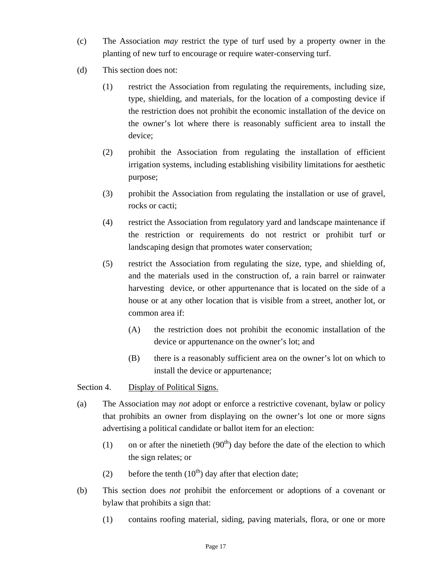- (c) The Association *may* restrict the type of turf used by a property owner in the planting of new turf to encourage or require water-conserving turf.
- (d) This section does not:
	- (1) restrict the Association from regulating the requirements, including size, type, shielding, and materials, for the location of a composting device if the restriction does not prohibit the economic installation of the device on the owner's lot where there is reasonably sufficient area to install the device;
	- (2) prohibit the Association from regulating the installation of efficient irrigation systems, including establishing visibility limitations for aesthetic purpose;
	- (3) prohibit the Association from regulating the installation or use of gravel, rocks or cacti;
	- (4) restrict the Association from regulatory yard and landscape maintenance if the restriction or requirements do not restrict or prohibit turf or landscaping design that promotes water conservation;
	- (5) restrict the Association from regulating the size, type, and shielding of, and the materials used in the construction of, a rain barrel or rainwater harvesting device, or other appurtenance that is located on the side of a house or at any other location that is visible from a street, another lot, or common area if:
		- (A) the restriction does not prohibit the economic installation of the device or appurtenance on the owner's lot; and
		- (B) there is a reasonably sufficient area on the owner's lot on which to install the device or appurtenance;

Section 4. Display of Political Signs.

- (a) The Association may *not* adopt or enforce a restrictive covenant, bylaw or policy that prohibits an owner from displaying on the owner's lot one or more signs advertising a political candidate or ballot item for an election:
	- (1) on or after the ninetieth  $(90<sup>th</sup>)$  day before the date of the election to which the sign relates; or
	- (2) before the tenth  $(10<sup>th</sup>)$  day after that election date;
- (b) This section does *not* prohibit the enforcement or adoptions of a covenant or bylaw that prohibits a sign that:
	- (1) contains roofing material, siding, paving materials, flora, or one or more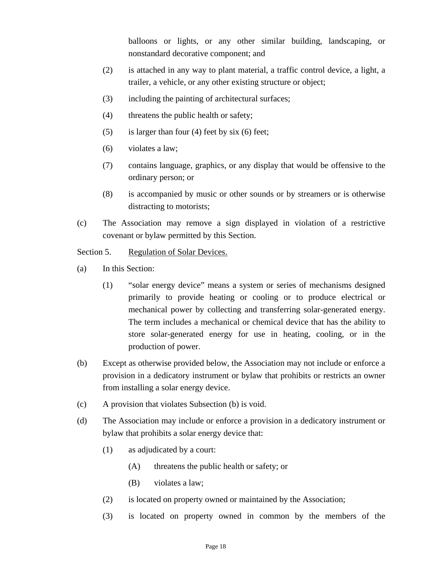balloons or lights, or any other similar building, landscaping, or nonstandard decorative component; and

- (2) is attached in any way to plant material, a traffic control device, a light, a trailer, a vehicle, or any other existing structure or object;
- (3) including the painting of architectural surfaces;
- (4) threatens the public health or safety;
- $(5)$  is larger than four (4) feet by six (6) feet;
- (6) violates a law;
- (7) contains language, graphics, or any display that would be offensive to the ordinary person; or
- (8) is accompanied by music or other sounds or by streamers or is otherwise distracting to motorists;
- (c) The Association may remove a sign displayed in violation of a restrictive covenant or bylaw permitted by this Section.

## Section 5. Regulation of Solar Devices.

- (a) In this Section:
	- (1) "solar energy device" means a system or series of mechanisms designed primarily to provide heating or cooling or to produce electrical or mechanical power by collecting and transferring solar-generated energy. The term includes a mechanical or chemical device that has the ability to store solar-generated energy for use in heating, cooling, or in the production of power.
- (b) Except as otherwise provided below, the Association may not include or enforce a provision in a dedicatory instrument or bylaw that prohibits or restricts an owner from installing a solar energy device.
- (c) A provision that violates Subsection (b) is void.
- (d) The Association may include or enforce a provision in a dedicatory instrument or bylaw that prohibits a solar energy device that:
	- (1) as adjudicated by a court:
		- (A) threatens the public health or safety; or
		- (B) violates a law;
	- (2) is located on property owned or maintained by the Association;
	- (3) is located on property owned in common by the members of the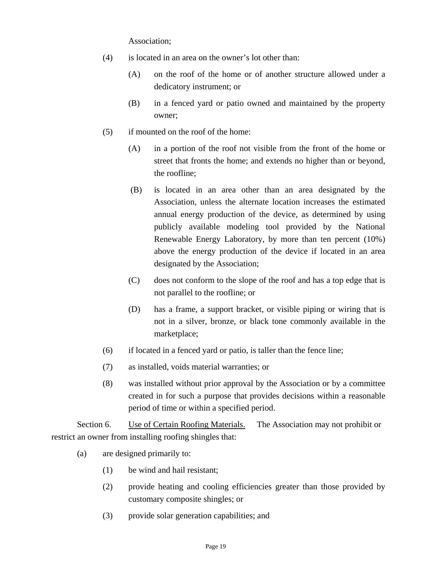Association;

- (4) is located in an area on the owner's lot other than:
	- (A) on the roof of the home or of another structure allowed under a dedicatory instrument; or
	- (B) in a fenced yard or patio owned and maintained by the property owner;
- (5) if mounted on the roof of the home:
	- (A) in a portion of the roof not visible from the front of the home or street that fronts the home; and extends no higher than or beyond, the roofline;
	- (B) is located in an area other than an area designated by the Association, unless the alternate location increases the estimated annual energy production of the device, as determined by using publicly available modeling tool provided by the National Renewable Energy Laboratory, by more than ten percent (10%) above the energy production of the device if located in an area designated by the Association;
	- (C) does not conform to the slope of the roof and has a top edge that is not parallel to the roofline; or
	- (D) has a frame, a support bracket, or visible piping or wiring that is not in a silver, bronze, or black tone commonly available in the marketplace;
- (6) if located in a fenced yard or patio, is taller than the fence line;
- (7) as installed, voids material warranties; or
- (8) was installed without prior approval by the Association or by a committee created in for such a purpose that provides decisions within a reasonable period of time or within a specified period.

Section 6. Use of Certain Roofing Materials. The Association may not prohibit or restrict an owner from installing roofing shingles that:

- (a) are designed primarily to:
	- (1) be wind and hail resistant;
	- (2) provide heating and cooling efficiencies greater than those provided by customary composite shingles; or
	- (3) provide solar generation capabilities; and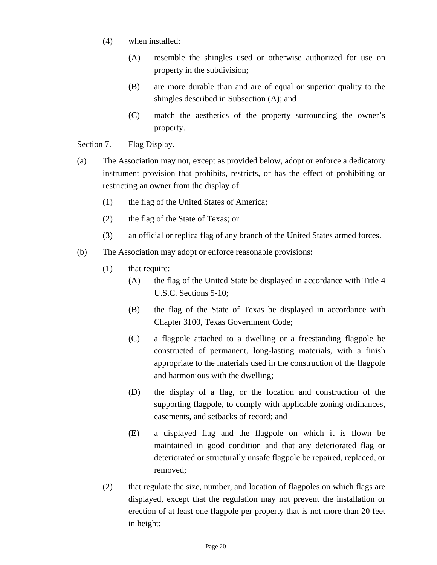- (4) when installed:
	- (A) resemble the shingles used or otherwise authorized for use on property in the subdivision;
	- (B) are more durable than and are of equal or superior quality to the shingles described in Subsection (A); and
	- (C) match the aesthetics of the property surrounding the owner's property.

## Section 7. Flag Display.

- (a) The Association may not, except as provided below, adopt or enforce a dedicatory instrument provision that prohibits, restricts, or has the effect of prohibiting or restricting an owner from the display of:
	- (1) the flag of the United States of America;
	- (2) the flag of the State of Texas; or
	- (3) an official or replica flag of any branch of the United States armed forces.
- (b) The Association may adopt or enforce reasonable provisions:
	- (1) that require:
		- (A) the flag of the United State be displayed in accordance with Title 4 U.S.C. Sections 5-10;
		- (B) the flag of the State of Texas be displayed in accordance with Chapter 3100, Texas Government Code;
		- (C) a flagpole attached to a dwelling or a freestanding flagpole be constructed of permanent, long-lasting materials, with a finish appropriate to the materials used in the construction of the flagpole and harmonious with the dwelling;
		- (D) the display of a flag, or the location and construction of the supporting flagpole, to comply with applicable zoning ordinances, easements, and setbacks of record; and
		- (E) a displayed flag and the flagpole on which it is flown be maintained in good condition and that any deteriorated flag or deteriorated or structurally unsafe flagpole be repaired, replaced, or removed;
	- (2) that regulate the size, number, and location of flagpoles on which flags are displayed, except that the regulation may not prevent the installation or erection of at least one flagpole per property that is not more than 20 feet in height;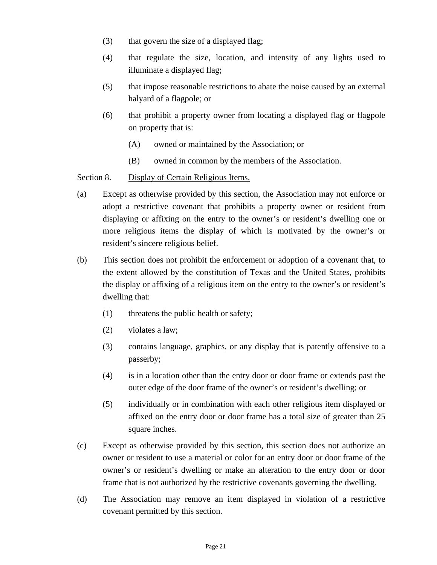- (3) that govern the size of a displayed flag;
- (4) that regulate the size, location, and intensity of any lights used to illuminate a displayed flag;
- (5) that impose reasonable restrictions to abate the noise caused by an external halyard of a flagpole; or
- (6) that prohibit a property owner from locating a displayed flag or flagpole on property that is:
	- (A) owned or maintained by the Association; or
	- (B) owned in common by the members of the Association.

Section 8. Display of Certain Religious Items.

- (a) Except as otherwise provided by this section, the Association may not enforce or adopt a restrictive covenant that prohibits a property owner or resident from displaying or affixing on the entry to the owner's or resident's dwelling one or more religious items the display of which is motivated by the owner's or resident's sincere religious belief.
- (b) This section does not prohibit the enforcement or adoption of a covenant that, to the extent allowed by the constitution of Texas and the United States, prohibits the display or affixing of a religious item on the entry to the owner's or resident's dwelling that:
	- (1) threatens the public health or safety;
	- (2) violates a law;
	- (3) contains language, graphics, or any display that is patently offensive to a passerby;
	- (4) is in a location other than the entry door or door frame or extends past the outer edge of the door frame of the owner's or resident's dwelling; or
	- (5) individually or in combination with each other religious item displayed or affixed on the entry door or door frame has a total size of greater than 25 square inches.
- (c) Except as otherwise provided by this section, this section does not authorize an owner or resident to use a material or color for an entry door or door frame of the owner's or resident's dwelling or make an alteration to the entry door or door frame that is not authorized by the restrictive covenants governing the dwelling.
- (d) The Association may remove an item displayed in violation of a restrictive covenant permitted by this section.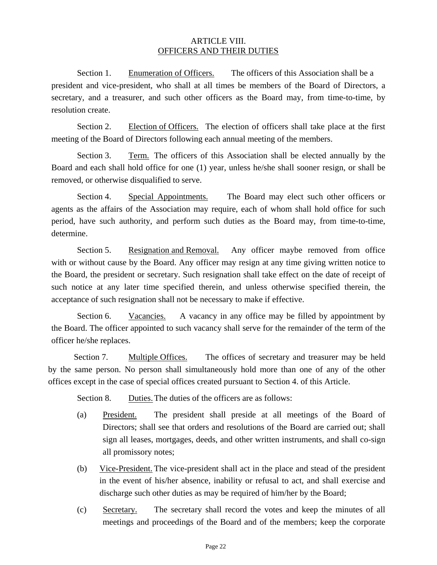## ARTICLE VIII. OFFICERS AND THEIR DUTIES

Section 1. Enumeration of Officers. The officers of this Association shall be a president and vice-president, who shall at all times be members of the Board of Directors, a secretary, and a treasurer, and such other officers as the Board may, from time-to-time, by resolution create.

Section 2. Election of Officers. The election of officers shall take place at the first meeting of the Board of Directors following each annual meeting of the members.

Section 3. Term. The officers of this Association shall be elected annually by the Board and each shall hold office for one (1) year, unless he/she shall sooner resign, or shall be removed, or otherwise disqualified to serve.

Section 4. Special Appointments. The Board may elect such other officers or agents as the affairs of the Association may require, each of whom shall hold office for such period, have such authority, and perform such duties as the Board may, from time-to-time, determine.

Section 5. Resignation and Removal. Any officer maybe removed from office with or without cause by the Board. Any officer may resign at any time giving written notice to the Board, the president or secretary. Such resignation shall take effect on the date of receipt of such notice at any later time specified therein, and unless otherwise specified therein, the acceptance of such resignation shall not be necessary to make if effective.

Section 6. Vacancies. A vacancy in any office may be filled by appointment by the Board. The officer appointed to such vacancy shall serve for the remainder of the term of the officer he/she replaces.

Section 7. Multiple Offices. The offices of secretary and treasurer may be held by the same person. No person shall simultaneously hold more than one of any of the other offices except in the case of special offices created pursuant to Section 4. of this Article.

Section 8. Duties. The duties of the officers are as follows:

- (a) President. The president shall preside at all meetings of the Board of Directors; shall see that orders and resolutions of the Board are carried out; shall sign all leases, mortgages, deeds, and other written instruments, and shall co-sign all promissory notes;
- (b) Vice-President. The vice-president shall act in the place and stead of the president in the event of his/her absence, inability or refusal to act, and shall exercise and discharge such other duties as may be required of him/her by the Board;
- (c) Secretary. The secretary shall record the votes and keep the minutes of all meetings and proceedings of the Board and of the members; keep the corporate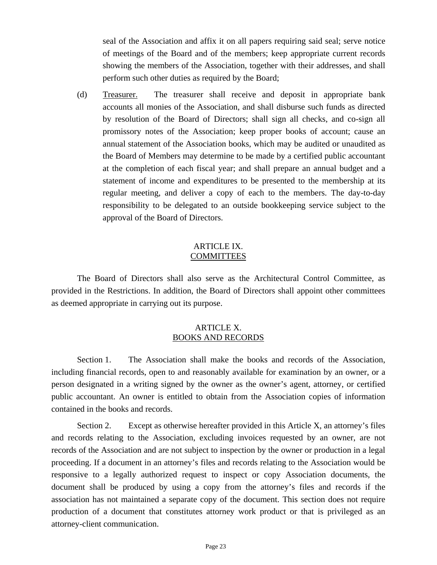seal of the Association and affix it on all papers requiring said seal; serve notice of meetings of the Board and of the members; keep appropriate current records showing the members of the Association, together with their addresses, and shall perform such other duties as required by the Board;

(d) Treasurer. The treasurer shall receive and deposit in appropriate bank accounts all monies of the Association, and shall disburse such funds as directed by resolution of the Board of Directors; shall sign all checks, and co-sign all promissory notes of the Association; keep proper books of account; cause an annual statement of the Association books, which may be audited or unaudited as the Board of Members may determine to be made by a certified public accountant at the completion of each fiscal year; and shall prepare an annual budget and a statement of income and expenditures to be presented to the membership at its regular meeting, and deliver a copy of each to the members. The day-to-day responsibility to be delegated to an outside bookkeeping service subject to the approval of the Board of Directors.

### ARTICLE IX. COMMITTEES

The Board of Directors shall also serve as the Architectural Control Committee, as provided in the Restrictions. In addition, the Board of Directors shall appoint other committees as deemed appropriate in carrying out its purpose.

## ARTICLE X. BOOKS AND RECORDS

Section 1. The Association shall make the books and records of the Association, including financial records, open to and reasonably available for examination by an owner, or a person designated in a writing signed by the owner as the owner's agent, attorney, or certified public accountant. An owner is entitled to obtain from the Association copies of information contained in the books and records.

Section 2. Except as otherwise hereafter provided in this Article X, an attorney's files and records relating to the Association, excluding invoices requested by an owner, are not records of the Association and are not subject to inspection by the owner or production in a legal proceeding. If a document in an attorney's files and records relating to the Association would be responsive to a legally authorized request to inspect or copy Association documents, the document shall be produced by using a copy from the attorney's files and records if the association has not maintained a separate copy of the document. This section does not require production of a document that constitutes attorney work product or that is privileged as an attorney-client communication.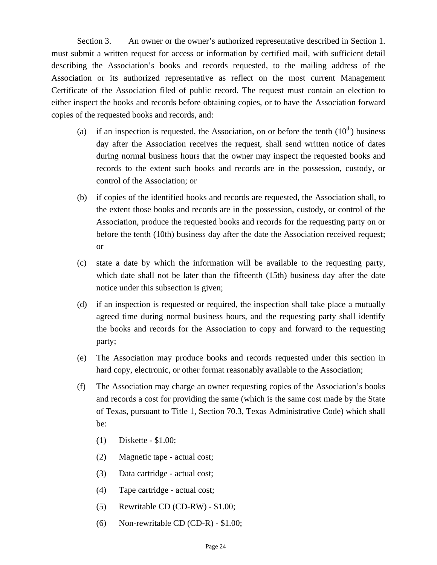Section 3. An owner or the owner's authorized representative described in Section 1. must submit a written request for access or information by certified mail, with sufficient detail describing the Association's books and records requested, to the mailing address of the Association or its authorized representative as reflect on the most current Management Certificate of the Association filed of public record. The request must contain an election to either inspect the books and records before obtaining copies, or to have the Association forward copies of the requested books and records, and:

- (a) if an inspection is requested, the Association, on or before the tenth  $(10<sup>th</sup>)$  business day after the Association receives the request, shall send written notice of dates during normal business hours that the owner may inspect the requested books and records to the extent such books and records are in the possession, custody, or control of the Association; or
- (b) if copies of the identified books and records are requested, the Association shall, to the extent those books and records are in the possession, custody, or control of the Association, produce the requested books and records for the requesting party on or before the tenth (10th) business day after the date the Association received request; or
- (c) state a date by which the information will be available to the requesting party, which date shall not be later than the fifteenth (15th) business day after the date notice under this subsection is given;
- (d) if an inspection is requested or required, the inspection shall take place a mutually agreed time during normal business hours, and the requesting party shall identify the books and records for the Association to copy and forward to the requesting party;
- (e) The Association may produce books and records requested under this section in hard copy, electronic, or other format reasonably available to the Association;
- (f) The Association may charge an owner requesting copies of the Association's books and records a cost for providing the same (which is the same cost made by the State of Texas, pursuant to Title 1, Section 70.3, Texas Administrative Code) which shall be:
	- (1) Diskette \$1.00;
	- (2) Magnetic tape actual cost;
	- (3) Data cartridge actual cost;
	- (4) Tape cartridge actual cost;
	- (5) Rewritable CD (CD-RW) \$1.00;
	- (6) Non-rewritable CD (CD-R) \$1.00;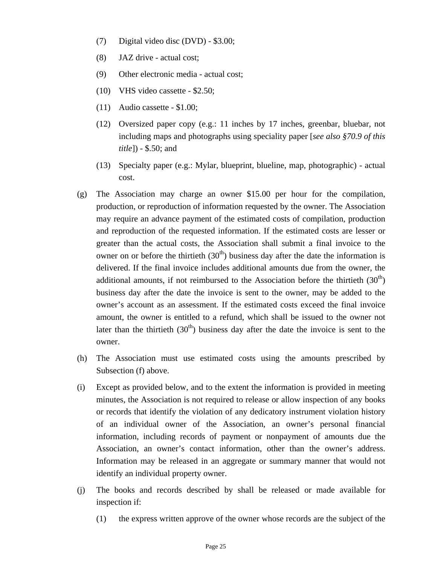- (7) Digital video disc (DVD) \$3.00;
- (8) JAZ drive actual cost;
- (9) Other electronic media actual cost;
- (10) VHS video cassette \$2.50;
- (11) Audio cassette \$1.00;
- (12) Oversized paper copy (e.g.: 11 inches by 17 inches, greenbar, bluebar, not including maps and photographs using speciality paper [*see also §70.9 of this title*]) - \$.50; and
- (13) Specialty paper (e.g.: Mylar, blueprint, blueline, map, photographic) actual cost.
- (g) The Association may charge an owner \$15.00 per hour for the compilation, production, or reproduction of information requested by the owner. The Association may require an advance payment of the estimated costs of compilation, production and reproduction of the requested information. If the estimated costs are lesser or greater than the actual costs, the Association shall submit a final invoice to the owner on or before the thirtieth  $(30<sup>th</sup>)$  business day after the date the information is delivered. If the final invoice includes additional amounts due from the owner, the additional amounts, if not reimbursed to the Association before the thirtieth  $(30<sup>th</sup>)$ business day after the date the invoice is sent to the owner, may be added to the owner's account as an assessment. If the estimated costs exceed the final invoice amount, the owner is entitled to a refund, which shall be issued to the owner not later than the thirtieth  $(30<sup>th</sup>)$  business day after the date the invoice is sent to the owner.
- (h) The Association must use estimated costs using the amounts prescribed by Subsection (f) above.
- (i) Except as provided below, and to the extent the information is provided in meeting minutes, the Association is not required to release or allow inspection of any books or records that identify the violation of any dedicatory instrument violation history of an individual owner of the Association, an owner's personal financial information, including records of payment or nonpayment of amounts due the Association, an owner's contact information, other than the owner's address. Information may be released in an aggregate or summary manner that would not identify an individual property owner.
- (j) The books and records described by shall be released or made available for inspection if:
	- (1) the express written approve of the owner whose records are the subject of the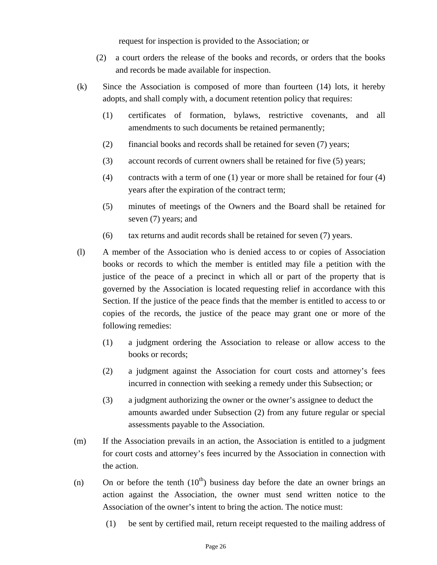request for inspection is provided to the Association; or

- (2) a court orders the release of the books and records, or orders that the books and records be made available for inspection.
- (k) Since the Association is composed of more than fourteen (14) lots, it hereby adopts, and shall comply with, a document retention policy that requires:
	- (1) certificates of formation, bylaws, restrictive covenants, and all amendments to such documents be retained permanently;
	- (2) financial books and records shall be retained for seven (7) years;
	- (3) account records of current owners shall be retained for five (5) years;
	- (4) contracts with a term of one (1) year or more shall be retained for four (4) years after the expiration of the contract term;
	- (5) minutes of meetings of the Owners and the Board shall be retained for seven (7) years; and
	- (6) tax returns and audit records shall be retained for seven (7) years.
- (l) A member of the Association who is denied access to or copies of Association books or records to which the member is entitled may file a petition with the justice of the peace of a precinct in which all or part of the property that is governed by the Association is located requesting relief in accordance with this Section. If the justice of the peace finds that the member is entitled to access to or copies of the records, the justice of the peace may grant one or more of the following remedies:
	- (1) a judgment ordering the Association to release or allow access to the books or records;
	- (2) a judgment against the Association for court costs and attorney's fees incurred in connection with seeking a remedy under this Subsection; or
	- (3) a judgment authorizing the owner or the owner's assignee to deduct the amounts awarded under Subsection (2) from any future regular or special assessments payable to the Association.
- (m) If the Association prevails in an action, the Association is entitled to a judgment for court costs and attorney's fees incurred by the Association in connection with the action.
- (n) On or before the tenth  $(10<sup>th</sup>)$  business day before the date an owner brings an action against the Association, the owner must send written notice to the Association of the owner's intent to bring the action. The notice must:
	- (1) be sent by certified mail, return receipt requested to the mailing address of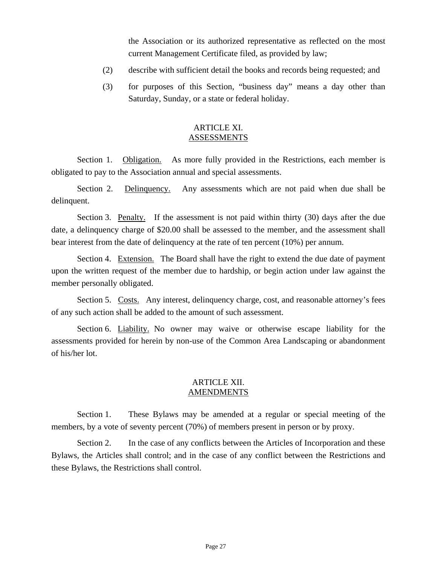the Association or its authorized representative as reflected on the most current Management Certificate filed, as provided by law;

- (2) describe with sufficient detail the books and records being requested; and
- (3) for purposes of this Section, "business day" means a day other than Saturday, Sunday, or a state or federal holiday.

## ARTICLE XI. ASSESSMENTS

Section 1. Obligation. As more fully provided in the Restrictions, each member is obligated to pay to the Association annual and special assessments.

Section 2. Delinquency. Any assessments which are not paid when due shall be delinquent.

Section 3. Penalty. If the assessment is not paid within thirty (30) days after the due date, a delinquency charge of \$20.00 shall be assessed to the member, and the assessment shall bear interest from the date of delinquency at the rate of ten percent (10%) per annum.

Section 4. Extension. The Board shall have the right to extend the due date of payment upon the written request of the member due to hardship, or begin action under law against the member personally obligated.

Section 5. Costs. Any interest, delinquency charge, cost, and reasonable attorney's fees of any such action shall be added to the amount of such assessment.

Section 6. Liability. No owner may waive or otherwise escape liability for the assessments provided for herein by non-use of the Common Area Landscaping or abandonment of his/her lot.

## ARTICLE XII. AMENDMENTS

Section 1. These Bylaws may be amended at a regular or special meeting of the members, by a vote of seventy percent (70%) of members present in person or by proxy.

Section 2. In the case of any conflicts between the Articles of Incorporation and these Bylaws, the Articles shall control; and in the case of any conflict between the Restrictions and these Bylaws, the Restrictions shall control.